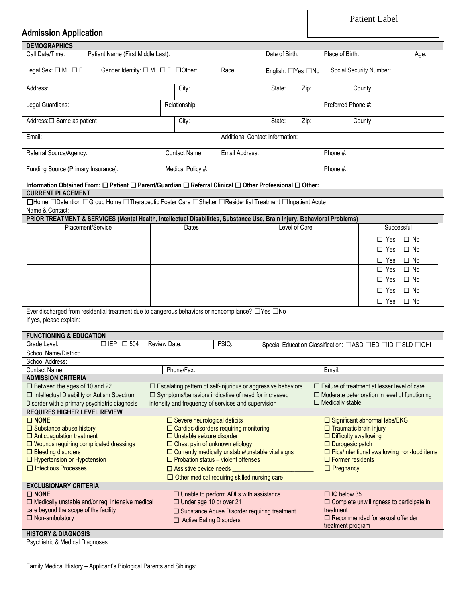Patient Label

## **Admission Application**

| <b>DEMOGRAPHICS</b>                                                                                                                                           |  |                                                  |                                                                             |                                                                                                        |                                                                                                              |                                                                             |                                                              |                         |                                                          |              |
|---------------------------------------------------------------------------------------------------------------------------------------------------------------|--|--------------------------------------------------|-----------------------------------------------------------------------------|--------------------------------------------------------------------------------------------------------|--------------------------------------------------------------------------------------------------------------|-----------------------------------------------------------------------------|--------------------------------------------------------------|-------------------------|----------------------------------------------------------|--------------|
| Call Date/Time:                                                                                                                                               |  | Patient Name (First Middle Last):                |                                                                             |                                                                                                        |                                                                                                              | Date of Birth:                                                              |                                                              | Place of Birth:         |                                                          | Age:         |
| Legal Sex: $\square M \square F$                                                                                                                              |  | Gender Identity: $\Box M$ $\Box F$ $\Box$ Other: |                                                                             |                                                                                                        | Race:                                                                                                        | English: □Yes □No                                                           |                                                              |                         | Social Security Number:                                  |              |
| Address:                                                                                                                                                      |  |                                                  |                                                                             | City:                                                                                                  |                                                                                                              | State:                                                                      | Zip:                                                         |                         | County:                                                  |              |
| Legal Guardians:                                                                                                                                              |  |                                                  |                                                                             | Relationship:                                                                                          |                                                                                                              |                                                                             |                                                              | Preferred Phone #:      |                                                          |              |
| Address:□ Same as patient                                                                                                                                     |  |                                                  |                                                                             | City:                                                                                                  |                                                                                                              | State:                                                                      | Zip:                                                         |                         | County:                                                  |              |
| Email:                                                                                                                                                        |  |                                                  |                                                                             |                                                                                                        |                                                                                                              | <b>Additional Contact Information:</b>                                      |                                                              |                         |                                                          |              |
| Referral Source/Agency:                                                                                                                                       |  |                                                  |                                                                             | Contact Name:                                                                                          | Email Address:                                                                                               |                                                                             |                                                              | Phone #:                |                                                          |              |
| Funding Source (Primary Insurance):                                                                                                                           |  |                                                  |                                                                             | Medical Policy #:                                                                                      |                                                                                                              |                                                                             | Phone #:                                                     |                         |                                                          |              |
|                                                                                                                                                               |  |                                                  |                                                                             |                                                                                                        |                                                                                                              |                                                                             |                                                              |                         |                                                          |              |
| Information Obtained From: $\Box$ Patient $\Box$ Parent/Guardian $\Box$ Referral Clinical $\Box$ Other Professional $\Box$ Other:<br><b>CURRENT PLACEMENT</b> |  |                                                  |                                                                             |                                                                                                        |                                                                                                              |                                                                             |                                                              |                         |                                                          |              |
| □Home □Detention □Group Home □Therapeutic Foster Care □Shelter □Residential Treatment □Inpatient Acute                                                        |  |                                                  |                                                                             |                                                                                                        |                                                                                                              |                                                                             |                                                              |                         |                                                          |              |
| Name & Contact:<br>PRIOR TREATMENT & SERVICES (Mental Health, Intellectual Disabilities, Substance Use, Brain Injury, Behavioral Problems)                    |  |                                                  |                                                                             |                                                                                                        |                                                                                                              |                                                                             |                                                              |                         |                                                          |              |
| Placement/Service                                                                                                                                             |  |                                                  |                                                                             | Dates                                                                                                  |                                                                                                              | Level of Care                                                               |                                                              |                         | Successful                                               |              |
|                                                                                                                                                               |  |                                                  |                                                                             |                                                                                                        |                                                                                                              |                                                                             |                                                              |                         | $\Box$ Yes                                               | $\Box$ No    |
|                                                                                                                                                               |  |                                                  |                                                                             |                                                                                                        |                                                                                                              |                                                                             |                                                              |                         | $\Box$ Yes                                               | $\Box$ No    |
|                                                                                                                                                               |  |                                                  |                                                                             |                                                                                                        |                                                                                                              |                                                                             |                                                              |                         |                                                          |              |
|                                                                                                                                                               |  |                                                  |                                                                             |                                                                                                        |                                                                                                              |                                                                             |                                                              |                         | $\Box$ Yes                                               | $\square$ No |
|                                                                                                                                                               |  |                                                  |                                                                             |                                                                                                        |                                                                                                              |                                                                             |                                                              |                         | $\Box$ Yes                                               | $\square$ No |
|                                                                                                                                                               |  |                                                  |                                                                             |                                                                                                        |                                                                                                              |                                                                             |                                                              |                         | $\Box$ Yes                                               | $\Box$ No    |
|                                                                                                                                                               |  |                                                  |                                                                             |                                                                                                        |                                                                                                              |                                                                             |                                                              |                         | $\Box$ Yes                                               | $\Box$ No    |
| Ever discharged from residential treatment due to dangerous behaviors or noncompliance? □Yes □No                                                              |  |                                                  |                                                                             |                                                                                                        |                                                                                                              |                                                                             |                                                              |                         | $\Box$ Yes                                               | $\Box$ No    |
| If yes, please explain:<br><b>FUNCTIONING &amp; EDUCATION</b><br>Grade Level:                                                                                 |  | $\Box$ EP $\Box$ 504                             | Review Date:                                                                |                                                                                                        | FSIQ:                                                                                                        |                                                                             |                                                              |                         | Special Education Classification: □ASD □ED □ID □SLD □OHI |              |
| School Name/District:                                                                                                                                         |  |                                                  |                                                                             |                                                                                                        |                                                                                                              |                                                                             |                                                              |                         |                                                          |              |
| School Address:                                                                                                                                               |  |                                                  |                                                                             |                                                                                                        |                                                                                                              |                                                                             |                                                              |                         |                                                          |              |
| Contact Name:                                                                                                                                                 |  |                                                  |                                                                             | Phone/Fax:                                                                                             |                                                                                                              |                                                                             |                                                              | Email:                  |                                                          |              |
| <b>ADMISSION CRITERIA</b>                                                                                                                                     |  |                                                  |                                                                             |                                                                                                        |                                                                                                              |                                                                             |                                                              |                         |                                                          |              |
| □ Between the ages of 10 and 22                                                                                                                               |  |                                                  |                                                                             |                                                                                                        | □ Escalating pattern of self-injurious or aggressive behaviors                                               |                                                                             |                                                              |                         | $\square$ Failure of treatment at lesser level of care   |              |
| $\Box$ Intellectual Disability or Autism Spectrum<br>Disorder with a primary psychiatric diagnosis                                                            |  |                                                  |                                                                             |                                                                                                        | □ Symptoms/behaviors indicative of need for increased<br>intensity and frequency of services and supervision |                                                                             |                                                              | $\Box$ Medically stable | $\Box$ Moderate deterioration in level of functioning    |              |
| <b>REQUIRES HIGHER LEVEL REVIEW</b>                                                                                                                           |  |                                                  |                                                                             |                                                                                                        |                                                                                                              |                                                                             |                                                              |                         |                                                          |              |
| $\square$ NONE                                                                                                                                                |  |                                                  |                                                                             | $\Box$ Severe neurological deficits                                                                    |                                                                                                              |                                                                             |                                                              |                         | □ Significant abnormal labs/EKG                          |              |
| $\Box$ Substance abuse history                                                                                                                                |  |                                                  |                                                                             |                                                                                                        | $\Box$ Cardiac disorders requiring monitoring                                                                |                                                                             |                                                              |                         | $\Box$ Traumatic brain injury                            |              |
| $\Box$ Anticoagulation treatment<br>$\Box$ Wounds requiring complicated dressings                                                                             |  |                                                  |                                                                             | $\Box$ Unstable seizure disorder                                                                       |                                                                                                              |                                                                             | $\Box$ Difficulty swallowing                                 |                         |                                                          |              |
| $\Box$ Bleeding disorders                                                                                                                                     |  |                                                  |                                                                             | $\Box$ Chest pain of unknown etiology                                                                  |                                                                                                              | $\Box$ Durogesic patch<br>$\Box$ Pica/Intentional swallowing non-food items |                                                              |                         |                                                          |              |
| $\Box$ Hypertension or Hypotension                                                                                                                            |  |                                                  |                                                                             | $\Box$ Currently medically unstable/unstable vital signs<br>$\Box$ Probation status – violent offenses |                                                                                                              |                                                                             |                                                              | $\Box$ Former residents |                                                          |              |
| □ Infectious Processes                                                                                                                                        |  |                                                  |                                                                             | $\Box$ Assistive device needs                                                                          |                                                                                                              |                                                                             |                                                              | $\Box$ Pregnancy        |                                                          |              |
|                                                                                                                                                               |  |                                                  |                                                                             |                                                                                                        | $\Box$ Other medical requiring skilled nursing care                                                          |                                                                             |                                                              |                         |                                                          |              |
| <b>EXCLUSIONARY CRITERIA</b>                                                                                                                                  |  |                                                  |                                                                             |                                                                                                        |                                                                                                              |                                                                             |                                                              |                         |                                                          |              |
| $\square$ NONE                                                                                                                                                |  |                                                  |                                                                             |                                                                                                        | $\Box$ Unable to perform ADLs with assistance                                                                |                                                                             |                                                              | $\Box$ IQ below 35      |                                                          |              |
| $\Box$ Medically unstable and/or req. intensive medical<br>care beyond the scope of the facility                                                              |  |                                                  | □ Under age 10 or over 21<br>□ Substance Abuse Disorder requiring treatment |                                                                                                        |                                                                                                              |                                                                             | $\Box$ Complete unwillingness to participate in<br>treatment |                         |                                                          |              |
| $\Box$ Non-ambulatory                                                                                                                                         |  |                                                  | □ Active Eating Disorders                                                   |                                                                                                        |                                                                                                              |                                                                             | $\Box$ Recommended for sexual offender                       |                         |                                                          |              |
|                                                                                                                                                               |  |                                                  |                                                                             |                                                                                                        |                                                                                                              |                                                                             | treatment program                                            |                         |                                                          |              |
| <b>HISTORY &amp; DIAGNOSIS</b>                                                                                                                                |  |                                                  |                                                                             |                                                                                                        |                                                                                                              |                                                                             |                                                              |                         |                                                          |              |
| Psychiatric & Medical Diagnoses:                                                                                                                              |  |                                                  |                                                                             |                                                                                                        |                                                                                                              |                                                                             |                                                              |                         |                                                          |              |
| Family Medical History - Applicant's Biological Parents and Siblings:                                                                                         |  |                                                  |                                                                             |                                                                                                        |                                                                                                              |                                                                             |                                                              |                         |                                                          |              |
|                                                                                                                                                               |  |                                                  |                                                                             |                                                                                                        |                                                                                                              |                                                                             |                                                              |                         |                                                          |              |
|                                                                                                                                                               |  |                                                  |                                                                             |                                                                                                        |                                                                                                              |                                                                             |                                                              |                         |                                                          |              |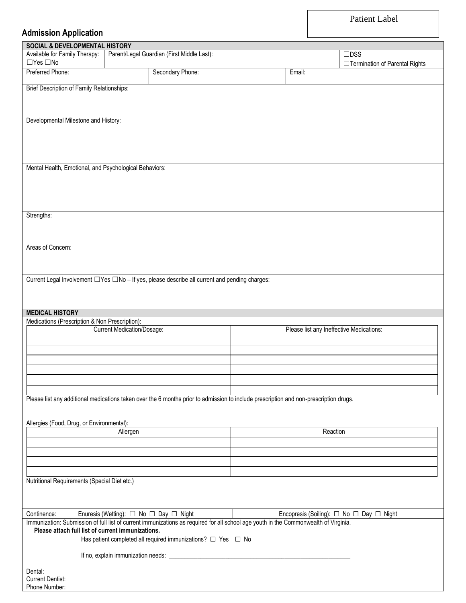Patient Label

## **Admission Application**

| <b>SOCIAL &amp; DEVELOPMENTAL HISTORY</b>              |                                   |                                                                                                                                       |                                          |                                          |
|--------------------------------------------------------|-----------------------------------|---------------------------------------------------------------------------------------------------------------------------------------|------------------------------------------|------------------------------------------|
| Available for Family Therapy:                          |                                   | Parent/Legal Guardian (First Middle Last):                                                                                            |                                          | $\square$ DSS                            |
| $\Box$ Yes $\Box$ No                                   |                                   |                                                                                                                                       |                                          | □ Termination of Parental Rights         |
| Preferred Phone:                                       |                                   | Secondary Phone:                                                                                                                      | Email:                                   |                                          |
|                                                        |                                   |                                                                                                                                       |                                          |                                          |
| Brief Description of Family Relationships:             |                                   |                                                                                                                                       |                                          |                                          |
|                                                        |                                   |                                                                                                                                       |                                          |                                          |
|                                                        |                                   |                                                                                                                                       |                                          |                                          |
|                                                        |                                   |                                                                                                                                       |                                          |                                          |
| Developmental Milestone and History:                   |                                   |                                                                                                                                       |                                          |                                          |
|                                                        |                                   |                                                                                                                                       |                                          |                                          |
|                                                        |                                   |                                                                                                                                       |                                          |                                          |
|                                                        |                                   |                                                                                                                                       |                                          |                                          |
|                                                        |                                   |                                                                                                                                       |                                          |                                          |
|                                                        |                                   |                                                                                                                                       |                                          |                                          |
| Mental Health, Emotional, and Psychological Behaviors: |                                   |                                                                                                                                       |                                          |                                          |
|                                                        |                                   |                                                                                                                                       |                                          |                                          |
|                                                        |                                   |                                                                                                                                       |                                          |                                          |
|                                                        |                                   |                                                                                                                                       |                                          |                                          |
|                                                        |                                   |                                                                                                                                       |                                          |                                          |
|                                                        |                                   |                                                                                                                                       |                                          |                                          |
| Strengths:                                             |                                   |                                                                                                                                       |                                          |                                          |
|                                                        |                                   |                                                                                                                                       |                                          |                                          |
|                                                        |                                   |                                                                                                                                       |                                          |                                          |
|                                                        |                                   |                                                                                                                                       |                                          |                                          |
|                                                        |                                   |                                                                                                                                       |                                          |                                          |
| Areas of Concern:                                      |                                   |                                                                                                                                       |                                          |                                          |
|                                                        |                                   |                                                                                                                                       |                                          |                                          |
|                                                        |                                   |                                                                                                                                       |                                          |                                          |
|                                                        |                                   |                                                                                                                                       |                                          |                                          |
|                                                        |                                   | Current Legal Involvement □ Yes □ No - If yes, please describe all current and pending charges:                                       |                                          |                                          |
|                                                        |                                   |                                                                                                                                       |                                          |                                          |
|                                                        |                                   |                                                                                                                                       |                                          |                                          |
|                                                        |                                   |                                                                                                                                       |                                          |                                          |
| <b>MEDICAL HISTORY</b>                                 |                                   |                                                                                                                                       |                                          |                                          |
|                                                        |                                   |                                                                                                                                       |                                          |                                          |
|                                                        |                                   |                                                                                                                                       |                                          |                                          |
| Medications (Prescription & Non Prescription):         |                                   |                                                                                                                                       |                                          |                                          |
|                                                        | <b>Current Medication/Dosage:</b> |                                                                                                                                       | Please list any Ineffective Medications: |                                          |
|                                                        |                                   |                                                                                                                                       |                                          |                                          |
|                                                        |                                   |                                                                                                                                       |                                          |                                          |
|                                                        |                                   |                                                                                                                                       |                                          |                                          |
|                                                        |                                   |                                                                                                                                       |                                          |                                          |
|                                                        |                                   |                                                                                                                                       |                                          |                                          |
|                                                        |                                   |                                                                                                                                       |                                          |                                          |
|                                                        |                                   |                                                                                                                                       |                                          |                                          |
|                                                        |                                   |                                                                                                                                       |                                          |                                          |
|                                                        |                                   | Please list any additional medications taken over the 6 months prior to admission to include prescription and non-prescription drugs. |                                          |                                          |
|                                                        |                                   |                                                                                                                                       |                                          |                                          |
|                                                        |                                   |                                                                                                                                       |                                          |                                          |
| Allergies (Food, Drug, or Environmental):              |                                   |                                                                                                                                       |                                          |                                          |
|                                                        | Allergen                          |                                                                                                                                       | Reaction                                 |                                          |
|                                                        |                                   |                                                                                                                                       |                                          |                                          |
|                                                        |                                   |                                                                                                                                       |                                          |                                          |
|                                                        |                                   |                                                                                                                                       |                                          |                                          |
|                                                        |                                   |                                                                                                                                       |                                          |                                          |
|                                                        |                                   |                                                                                                                                       |                                          |                                          |
| Nutritional Requirements (Special Diet etc.)           |                                   |                                                                                                                                       |                                          |                                          |
|                                                        |                                   |                                                                                                                                       |                                          |                                          |
|                                                        |                                   |                                                                                                                                       |                                          |                                          |
|                                                        |                                   |                                                                                                                                       |                                          |                                          |
|                                                        |                                   |                                                                                                                                       |                                          |                                          |
| Continence:                                            |                                   | Enuresis (Wetting): □ No □ Day □ Night                                                                                                |                                          | Encopresis (Soiling): □ No □ Day □ Night |
|                                                        |                                   | Immunization: Submission of full list of current immunizations as required for all school age youth in the Commonwealth of Virginia.  |                                          |                                          |
| Please attach full list of current immunizations.      |                                   |                                                                                                                                       |                                          |                                          |
|                                                        |                                   | Has patient completed all required immunizations? $\Box$ Yes $\Box$ No                                                                |                                          |                                          |
|                                                        |                                   |                                                                                                                                       |                                          |                                          |
|                                                        |                                   |                                                                                                                                       |                                          |                                          |
|                                                        |                                   |                                                                                                                                       |                                          |                                          |
| Dental:                                                |                                   |                                                                                                                                       |                                          |                                          |
| <b>Current Dentist:</b><br>Phone Number:               |                                   |                                                                                                                                       |                                          |                                          |